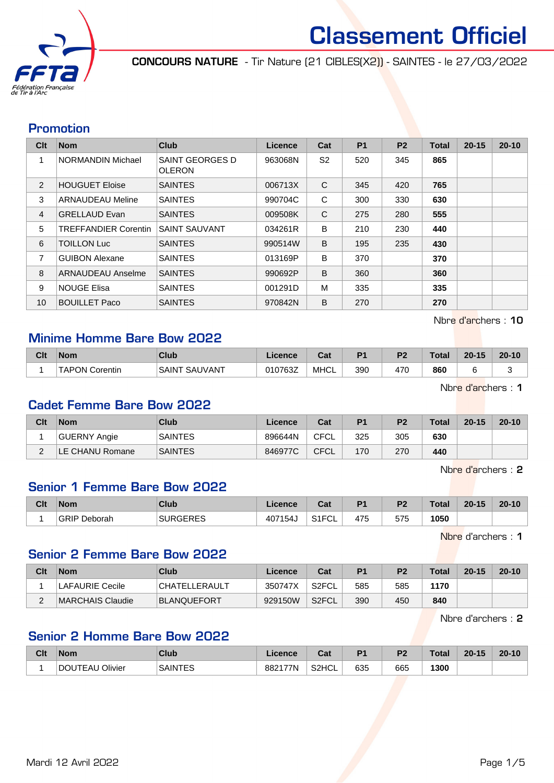

CONCOURS NATURE - Tir Nature (21 CIBLES(X2)) - SAINTES - le 27/03/2022

#### Promotion

| Clt            | <b>Nom</b>                  | <b>Club</b>                      | Licence | Cat            | <b>P1</b> | P <sub>2</sub> | <b>Total</b> | $20 - 15$ | $20 - 10$ |
|----------------|-----------------------------|----------------------------------|---------|----------------|-----------|----------------|--------------|-----------|-----------|
|                | <b>NORMANDIN Michael</b>    | SAINT GEORGES D<br><b>OLERON</b> | 963068N | S <sub>2</sub> | 520       | 345            | 865          |           |           |
| 2              | <b>HOUGUET Eloise</b>       | <b>SAINTES</b>                   | 006713X | C              | 345       | 420            | 765          |           |           |
| 3              | <b>ARNAUDEAU Meline</b>     | <b>SAINTES</b>                   | 990704C | C              | 300       | 330            | 630          |           |           |
| $\overline{4}$ | <b>GRELLAUD Evan</b>        | <b>SAINTES</b>                   | 009508K | C              | 275       | 280            | 555          |           |           |
| 5              | <b>TREFFANDIER Corentin</b> | <b>SAINT SAUVANT</b>             | 034261R | B              | 210       | 230            | 440          |           |           |
| 6              | <b>TOILLON Luc</b>          | <b>SAINTES</b>                   | 990514W | B              | 195       | 235            | 430          |           |           |
| 7              | <b>GUIBON Alexane</b>       | <b>SAINTES</b>                   | 013169P | B              | 370       |                | 370          |           |           |
| 8              | ARNAUDEAU Anselme           | <b>SAINTES</b>                   | 990692P | B              | 360       |                | 360          |           |           |
| 9              | <b>NOUGE Elisa</b>          | <b>SAINTES</b>                   | 001291D | M              | 335       |                | 335          |           |           |
| 10             | <b>BOUILLET Paco</b>        | <b>SAINTES</b>                   | 970842N | B              | 270       |                | 270          |           |           |

Nbre d'archers : 10

## Minime Homme Bare Bow 2022

| Clt | <b>Nom</b>                 | Club                     | Licence | $R_{\rm{orb}}$<br>udl | D4  | ng. | <b>Total</b> | $20 - 15$ | $20 - 10$ |
|-----|----------------------------|--------------------------|---------|-----------------------|-----|-----|--------------|-----------|-----------|
|     | <b>TAPON L</b><br>Corentin | . SAUVANT<br><b>SAIN</b> | 010763Z | <b>MHCL</b>           | 390 | 470 | 860          |           |           |

Nbre d'archers : 1

#### Cadet Femme Bare Bow 2022

| Clt         | <b>Nom</b>      | Club           | Licence | Cat  | P <sub>1</sub> | P <sub>2</sub> | <b>Total</b> | $20 - 15$ | $20 - 10$ |
|-------------|-----------------|----------------|---------|------|----------------|----------------|--------------|-----------|-----------|
|             | GUERNY Angie    | <b>SAINTES</b> | 896644N | CFCL | 325            | 305            | 630          |           |           |
| $\sim$<br>- | LE CHANU Romane | <b>SAINTES</b> | 846977C | CFCL | 170            | 270            | 440          |           |           |

Nbre d'archers : 2

#### Senior 1 Femme Bare Bow 2022

| Clt | <b>Nom</b>          | Club                   | Licence | ◠∼<br>ual                     | D <sub>1</sub> | D <sub>2</sub> | <b>Total</b> | $20 - 15$ | $20 - 10$ |
|-----|---------------------|------------------------|---------|-------------------------------|----------------|----------------|--------------|-----------|-----------|
|     | <b>GRIP Deborah</b> | <b>NEDEC</b><br>.JENEO | 407154  | 0.1501<br>ॱॱ ⊨<br>ືບ∟<br>۱۱ ت | 475            | 575            | 1050         |           |           |

Nbre d'archers : 1

#### Senior 2 Femme Bare Bow 2022

| Clt    | <b>Nom</b>             | Club               | Licence | Cat                | P <sub>1</sub> | P <sub>2</sub> | <b>Total</b> | $20 - 15$ | $20 - 10$ |
|--------|------------------------|--------------------|---------|--------------------|----------------|----------------|--------------|-----------|-----------|
|        | <b>LAFAURIE Cecile</b> | CHATELLERAULT      | 350747X | S <sub>2</sub> FCL | 585            | 585            | 1170         |           |           |
| ⌒<br>- | MARCHAIS Claudie       | <b>BLANQUEFORT</b> | 929150W | S <sub>2</sub> FCL | 390            | 450            | 840          |           |           |

Nbre d'archers : 2

#### Senior 2 Homme Bare Bow 2022

| Clt | <b>Nom</b>      | Club           | Licence | <b>Dol</b><br>ua | D <sub>1</sub> | D <sub>2</sub> | Total | $20 - 15$ | $20 - 10$ |
|-----|-----------------|----------------|---------|------------------|----------------|----------------|-------|-----------|-----------|
|     | DOUTEAU Olivier | <b>SAINTES</b> | 882177N | S2HCL            | 635            | 665            | 1300  |           |           |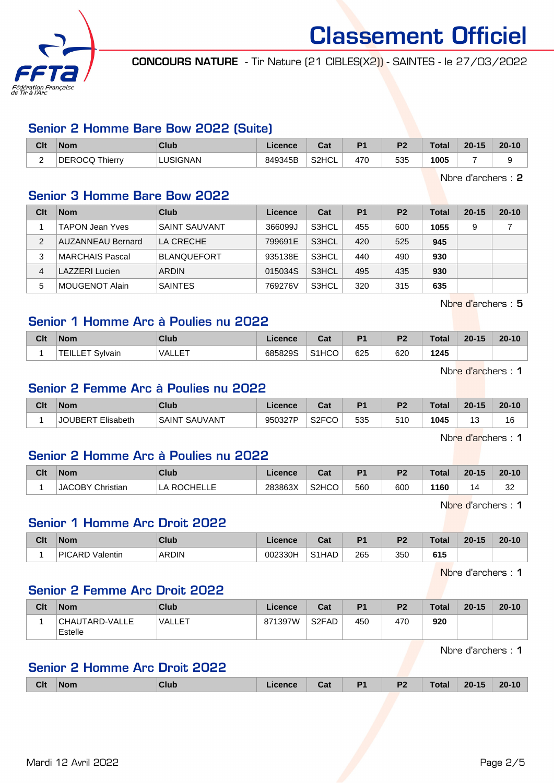

CONCOURS NATURE - Tir Nature (21 CIBLES(X2)) - SAINTES - le 27/03/2022

## Senior 2 Homme Bare Bow 2022 (Suite)

| Clt | <b>Nom</b>            | Club            | Licence | ◠؞+<br><b>v</b> al | D <sub>4</sub> | ng. | <b>Total</b> | $20 - 15$ | $20 - 10$ |
|-----|-----------------------|-----------------|---------|--------------------|----------------|-----|--------------|-----------|-----------|
| ∽   | <b>DEROCQ Thierry</b> | <b>LUSIGNAN</b> | 849345B | S2HCL              | 470            | 535 | 1005         |           |           |

Nbre d'archers : 2

#### Senior 3 Homme Bare Bow 2022

| Clt | <b>Nom</b>               | Club                 | Licence | Cat   | P <sub>1</sub> | P <sub>2</sub> | Total | $20 - 15$ | $20 - 10$ |
|-----|--------------------------|----------------------|---------|-------|----------------|----------------|-------|-----------|-----------|
|     | <b>TAPON Jean Yves</b>   | <b>SAINT SAUVANT</b> | 366099J | S3HCL | 455            | 600            | 1055  | 9         |           |
| 2   | <b>AUZANNEAU Bernard</b> | LA CRECHE            | 799691E | S3HCL | 420            | 525            | 945   |           |           |
| 3   | MARCHAIS Pascal          | <b>BLANQUEFORT</b>   | 935138E | S3HCL | 440            | 490            | 930   |           |           |
| 4   | LAZZERI Lucien           | <b>ARDIN</b>         | 015034S | S3HCL | 495            | 435            | 930   |           |           |
| 5   | ⊺MOUGENOT Alain          | <b>SAINTES</b>       | 769276V | S3HCL | 320            | 315            | 635   |           |           |

Nbre d'archers : 5

## Senior 1 Homme Arc à Poulies nu 2022

| Clt | <b>Nom</b>               | Club          | <sub>-</sub> icence | ∩^*<br>val         | D <sub>4</sub> | P <sub>2</sub> | <b>Total</b> | $20 - 15$ | $20 - 10$ |
|-----|--------------------------|---------------|---------------------|--------------------|----------------|----------------|--------------|-----------|-----------|
|     | <b>TEILLE</b><br>Svlvain | <b>NALLET</b> | 685829S             | S <sub>1</sub> HCO | 625            | 620            | 1245         |           |           |

Nbre d'archers : 1

#### Senior 2 Femme Arc à Poulies nu 2022

| Clt | <b>Nom</b>                 | Club                      | .icence | ו ה<br>uai                | D <sub>1</sub> | P <sub>2</sub> | Total | $20 - 15$     | $20 - 10$            |
|-----|----------------------------|---------------------------|---------|---------------------------|----------------|----------------|-------|---------------|----------------------|
|     | Elisabeth<br><b>JOUBER</b> | <b>, SAUVAN⊤</b><br>SAINT | 950327P | S <sub>2</sub> FCO<br>-טט | 535            | 510            | 1045  | $\sim$<br>ں ا | $\overline{ }$<br>16 |

Nbre d'archers : 1

#### Senior 2 Homme Arc à Poulies nu 2022

| Clt | <b>Nom</b>              | Club                | Licence | <b>Date</b><br>⊍م  | D <sub>1</sub> | P <sub>2</sub> | <b>Total</b> | $20 - 15$  | $20 - 10$                      |
|-----|-------------------------|---------------------|---------|--------------------|----------------|----------------|--------------|------------|--------------------------------|
|     | <b>JACOBY Christian</b> | ROCHEL<br>LA<br>___ | 283863X | S <sub>2</sub> HCO | 560            | 600            | 1160         | $\sqrt{2}$ | n <sub>n</sub><br>ےت<br>$\sim$ |

Nbre d'archers : 1

#### Senior 1 Homme Arc Droit 2022

| Clt | <b>Nom</b>      | Club         | Licence | <b>That</b><br>uau | D4  | D <sub>2</sub> | Total | $20 - 15$ | $20 - 10$ |
|-----|-----------------|--------------|---------|--------------------|-----|----------------|-------|-----------|-----------|
|     | PICARD Valentin | <b>ARDIN</b> | 002330H | S <sub>1</sub> HAD | 265 | 350            | 615   |           |           |

Nbre d'archers : 1

#### Senior 2 Femme Arc Droit 2022

| Clt | <b>Nom</b>                | Club          | Licence | Cat                | P <sub>1</sub> | P <sub>2</sub> | Total | $20 - 15$ | $20 - 10$ |
|-----|---------------------------|---------------|---------|--------------------|----------------|----------------|-------|-----------|-----------|
|     | CHAUTARD-VALLE<br>Estelle | <b>VALLET</b> | 871397W | S <sub>2</sub> FAD | 450            | 470            | 920   |           |           |

Nbre d'archers : 1

#### Senior 2 Homme Arc Droit 2022

| <b>Clt</b> | <b>Nom</b> | Club | Licence | Cat | D <sub>4</sub><br>. . | P <sub>2</sub> | Total | $20 - 15$ | $20 - 10$ |
|------------|------------|------|---------|-----|-----------------------|----------------|-------|-----------|-----------|
|            |            |      |         |     |                       |                |       |           |           |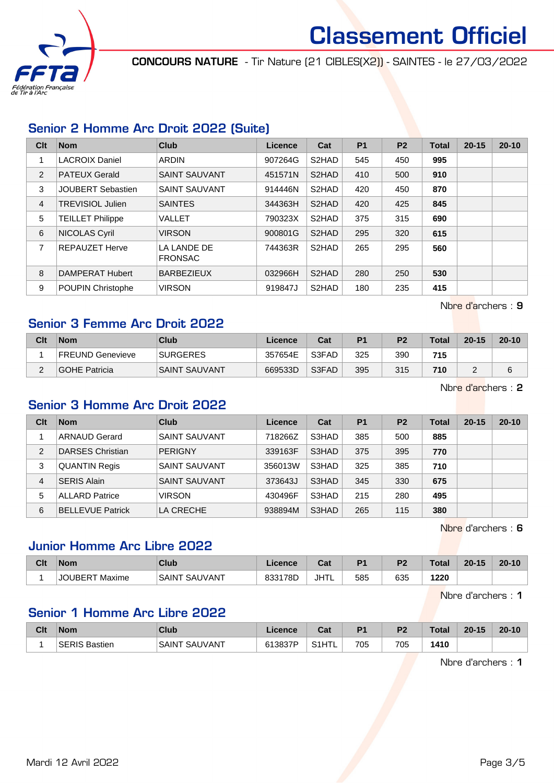

CONCOURS NATURE - Tir Nature (21 CIBLES(X2)) - SAINTES - le 27/03/2022

# Senior 2 Homme Arc Droit 2022 (Suite)

| Clt | <b>Nom</b>               | <b>Club</b>                   | Licence | Cat                | <b>P1</b> | P <sub>2</sub> | <b>Total</b> | $20 - 15$ | $20 - 10$ |
|-----|--------------------------|-------------------------------|---------|--------------------|-----------|----------------|--------------|-----------|-----------|
| 1   | <b>LACROIX Daniel</b>    | <b>ARDIN</b>                  | 907264G | S2HAD              | 545       | 450            | 995          |           |           |
| 2   | <b>PATEUX Gerald</b>     | <b>SAINT SAUVANT</b>          | 451571N | S2HAD              | 410       | 500            | 910          |           |           |
| 3   | <b>JOUBERT Sebastien</b> | <b>SAINT SAUVANT</b>          | 914446N | S2HAD              | 420       | 450            | 870          |           |           |
| 4   | TREVISIOL Julien         | <b>SAINTES</b>                | 344363H | S2HAD              | 420       | 425            | 845          |           |           |
| 5   | <b>TEILLET Philippe</b>  | VALLET                        | 790323X | S2HAD              | 375       | 315            | 690          |           |           |
| 6   | NICOLAS Cyril            | <b>VIRSON</b>                 | 900801G | S2HAD              | 295       | 320            | 615          |           |           |
| 7   | <b>REPAUZET Herve</b>    | LA LANDE DE<br><b>FRONSAC</b> | 744363R | S <sub>2</sub> HAD | 265       | 295            | 560          |           |           |
| 8   | DAMPERAT Hubert          | <b>BARBEZIEUX</b>             | 032966H | S2HAD              | 280       | 250            | 530          |           |           |
| 9   | <b>POUPIN Christophe</b> | <b>VIRSON</b>                 | 919847J | S2HAD              | 180       | 235            | 415          |           |           |

Nbre d'archers : 9

## Senior 3 Femme Arc Droit 2022

| Clt | <b>Nom</b>       | Club                 | Licence | Cat   | P <sub>1</sub> | P <sub>2</sub> | Total | $20 - 15$ | $20 - 10$ |
|-----|------------------|----------------------|---------|-------|----------------|----------------|-------|-----------|-----------|
|     | FREUND Genevieve | <b>SURGERES</b>      | 357654E | S3FAD | 325            | 390            | 715   |           |           |
| ◠   | GOHE Patricia    | <b>SAINT SAUVANT</b> | 669533D | S3FAD | 395            | 315            | 710   |           | 6         |

Nbre d'archers : 2

### Senior 3 Homme Arc Droit 2022

| Clt | <b>Nom</b>              | Club                 | Licence | Cat   | P <sub>1</sub> | P <sub>2</sub> | Total | $20 - 15$ | $20 - 10$ |
|-----|-------------------------|----------------------|---------|-------|----------------|----------------|-------|-----------|-----------|
|     | <b>ARNAUD Gerard</b>    | SAINT SAUVANT        | 718266Z | S3HAD | 385            | 500            | 885   |           |           |
| 2   | <b>DARSES Christian</b> | <b>PERIGNY</b>       | 339163F | S3HAD | 375            | 395            | 770   |           |           |
| 3   | <b>QUANTIN Regis</b>    | <b>SAINT SAUVANT</b> | 356013W | S3HAD | 325            | 385            | 710   |           |           |
| 4   | <b>SERIS Alain</b>      | <b>SAINT SAUVANT</b> | 373643J | S3HAD | 345            | 330            | 675   |           |           |
| 5   | <b>ALLARD Patrice</b>   | <b>VIRSON</b>        | 430496F | S3HAD | 215            | 280            | 495   |           |           |
| 6   | <b>BELLEVUE Patrick</b> | LA CRECHE            | 938894M | S3HAD | 265            | 115            | 380   |           |           |

Nbre d'archers : 6

## Junior Homme Arc Libre 2022

| Clt | <b>Nom</b>                    | Club              | Licence | <b>That</b><br>⊍d | D <sub>4</sub> | ng. | Total | $20 - 15$ | $20 - 10$ |
|-----|-------------------------------|-------------------|---------|-------------------|----------------|-----|-------|-----------|-----------|
|     | Maxime<br>JOUBER <sup>-</sup> | . SAUVANT<br>SAIN | 833178D | JHTL              | 585            | 635 | 1220  |           |           |

Nbre d'archers : 1

# Senior 1 Homme Arc Libre 2022

| Clt | <b>Nom</b> | Club              | Licence | ◠∼<br>⊍a⊧                    | P <sub>1</sub> | <b>D<sub>2</sub></b> | Total | $20 - 15$ | $20 - 10$ |
|-----|------------|-------------------|---------|------------------------------|----------------|----------------------|-------|-----------|-----------|
|     | Bastien    | . SAUVANT<br>SAIN | 613837P | $C$ <sub>4</sub> $H$ Ti<br>∽ | 705            | 705                  | 410   |           |           |

Nbre d'archers : 1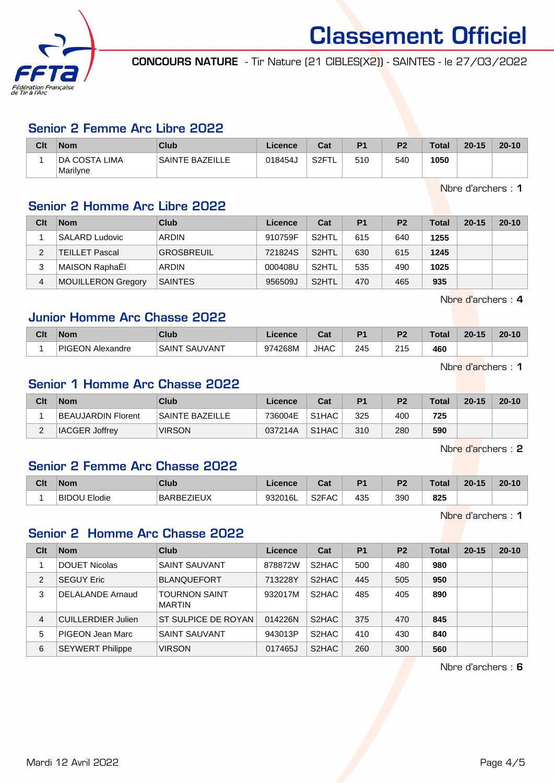

CONCOURS NATURE - Tir Nature (21 CIBLES(X2)) - SAINTES - le 27/03/2022

#### Senior 2 Femme Arc Libre 2022

| Clt | <b>Nom</b>                 | Club                   | Licence | Cat                      | P <sub>1</sub> | <b>P2</b> | Total | $20 - 15$ | $20 - 10$ |
|-----|----------------------------|------------------------|---------|--------------------------|----------------|-----------|-------|-----------|-----------|
|     | ∣DA COSTA LIMA<br>Marilyne | <b>SAINTE BAZEILLE</b> | 018454J | S <sub>2</sub> FT<br>. . | 510            | 540       | 1050  |           |           |

Nbre d'archers : 1

## Senior 2 Homme Arc Libre 2022

| Clt | <b>Nom</b>            | Club              | Licence | Cat                | P <sub>1</sub> | P <sub>2</sub> | <b>Total</b> | $20 - 15$ | $20 - 10$ |
|-----|-----------------------|-------------------|---------|--------------------|----------------|----------------|--------------|-----------|-----------|
|     | <b>SALARD Ludovic</b> | <b>ARDIN</b>      | 910759F | S <sub>2</sub> HTL | 615            | 640            | 1255         |           |           |
|     | <b>TEILLET Pascal</b> | <b>GROSBREUIL</b> | 721824S | S <sub>2</sub> HTL | 630            | 615            | 1245         |           |           |
| 3   | MAISON RaphaËl        | <b>ARDIN</b>      | 000408U | S <sub>2</sub> HTL | 535            | 490            | 1025         |           |           |
| 4   | MOUILLERON Gregory    | <b>SAINTES</b>    | 956509J | S2HTL              | 470            | 465            | 935          |           |           |

Nbre d'archers : 4

## Junior Homme Arc Chasse 2022

| Clt | <b>Nom</b>              | Club                         | icence  | ua          | D <sub>1</sub> | D <sub>2</sub> | $T - 1 - 1$<br>σται | $20 - 15$ | $20 - 10$ |
|-----|-------------------------|------------------------------|---------|-------------|----------------|----------------|---------------------|-----------|-----------|
|     | <b>PIGEON Alexandre</b> | UVANT.<br><b>SAIN</b><br>SAL | 974268M | <b>JHAC</b> | 245            | 215            | 460                 |           |           |

Nbre d'archers : 1

# Senior 1 Homme Arc Chasse 2022

| Clt    | <b>Nom</b>            | Club                   | Licence | Cat                            | P <sub>1</sub> | P <sub>2</sub> | <b>Total</b> | $20 - 15$ | $20 - 10$ |
|--------|-----------------------|------------------------|---------|--------------------------------|----------------|----------------|--------------|-----------|-----------|
|        | BEAUJARDIN Florent    | <b>SAINTE BAZEILLE</b> | 736004E | S <sub>1</sub> H <sub>AC</sub> | 325            | 400            | 725          |           |           |
| $\sim$ | <b>IACGER Joffrey</b> | <b>VIRSON</b>          | 037214A | S <sub>1</sub> H <sub>AC</sub> | 310            | 280            | 590          |           |           |

Nbre d'archers : 2

## Senior 2 Femme Arc Chasse 2022

| Clt | Nom                              | Club                          | icence         | $R_{\rm{min}}$<br>uai | D <sub>1</sub> | D <sub>2</sub> | Total      | 20-15 | $20 - 10$ |
|-----|----------------------------------|-------------------------------|----------------|-----------------------|----------------|----------------|------------|-------|-----------|
|     | BID <sub>®</sub><br><b>lodie</b> | <b>ZIELIX</b><br><b>BARBE</b> | 0320161<br>יסי | S <sub>2</sub> FAC    | 435            | 390            | 825<br>. . |       |           |

Nbre d'archers : 1

#### Senior 2 Homme Arc Chasse 2022

| Clt            | <b>Nom</b>                | Club                                  | Licence | Cat                | <b>P1</b> | P <sub>2</sub> | Total | $20 - 15$ | $20 - 10$ |
|----------------|---------------------------|---------------------------------------|---------|--------------------|-----------|----------------|-------|-----------|-----------|
|                | <b>DOUET Nicolas</b>      | <b>SAINT SAUVANT</b>                  | 878872W | S <sub>2</sub> HAC | 500       | 480            | 980   |           |           |
| $\overline{2}$ | <b>SEGUY Eric</b>         | <b>BLANQUEFORT</b>                    | 713228Y | S <sub>2</sub> HAC | 445       | 505            | 950   |           |           |
| 3              | DELALANDE Arnaud          | <b>TOURNON SAINT</b><br><b>MARTIN</b> | 932017M | S <sub>2</sub> HAC | 485       | 405            | 890   |           |           |
| $\overline{4}$ | <b>CUILLERDIER Julien</b> | ST SULPICE DE ROYAN                   | 014226N | S <sub>2</sub> HAC | 375       | 470            | 845   |           |           |
| 5              | <b>PIGEON Jean Marc</b>   | <b>SAINT SAUVANT</b>                  | 943013P | S <sub>2</sub> HAC | 410       | 430            | 840   |           |           |
| 6              | <b>SEYWERT Philippe</b>   | <b>VIRSON</b>                         | 017465J | S <sub>2</sub> HAC | 260       | 300            | 560   |           |           |

Nbre d'archers : 6